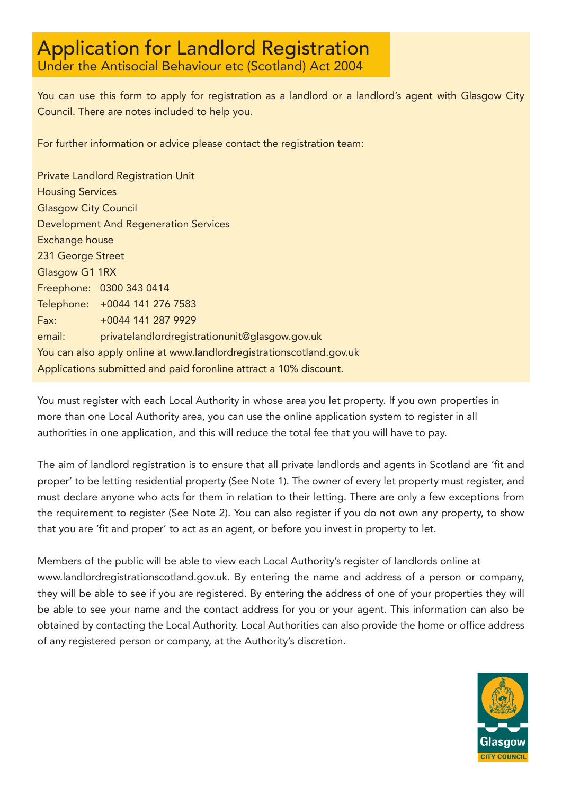# Application for Landlord Registration

Under the Antisocial Behaviour etc (Scotland) Act 2004

You can use this form to apply for registration as a landlord or a landlord's agent with Glasgow City Council. There are notes included to help you.

For further information or advice please contact the registration team:

Private Landlord Registration Unit Housing Services Glasgow City Council Development And Regeneration Services Exchange house 231 George Street Glasgow G1 1RX Freephone: 0300 343 0414 Telephone: +0044 141 276 7583 Fax: +0044 141 287 9929 email: privatelandlordregistrationunit@glasgow.gov.uk You can also apply online at www.landlordregistrationscotland.gov.uk Applications submitted and paid foronline attract a 10% discount.

You must register with each Local Authority in whose area you let property. If you own properties in more than one Local Authority area, you can use the online application system to register in all authorities in one application, and this will reduce the total fee that you will have to pay.

The aim of landlord registration is to ensure that all private landlords and agents in Scotland are 'fit and proper' to be letting residential property (See Note 1). The owner of every let property must register, and must declare anyone who acts for them in relation to their letting. There are only a few exceptions from the requirement to register (See Note 2). You can also register if you do not own any property, to show that you are 'fit and proper' to act as an agent, or before you invest in property to let.

Members of the public will be able to view each Local Authority's register of landlords online at www.landlordregistrationscotland.gov.uk. By entering the name and address of a person or company, they will be able to see if you are registered. By entering the address of one of your properties they will be able to see your name and the contact address for you or your agent. This information can also be obtained by contacting the Local Authority. Local Authorities can also provide the home or office address of any registered person or company, at the Authority's discretion.

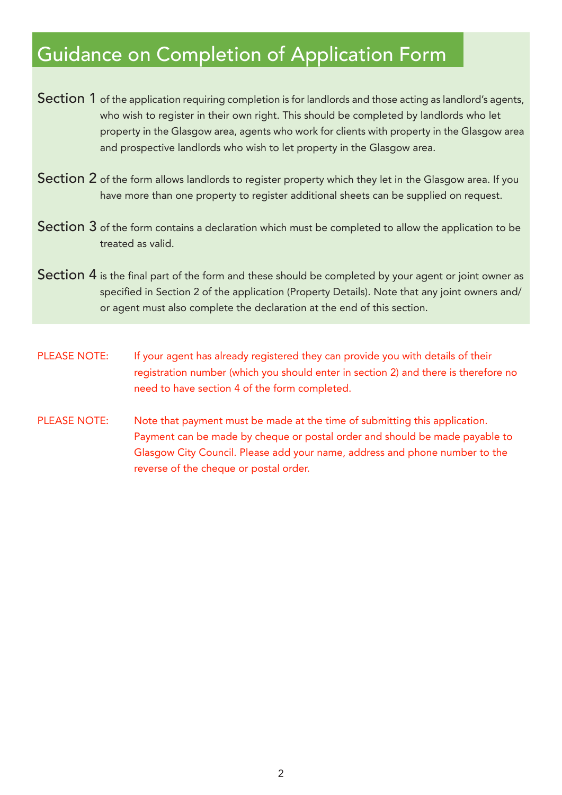## Guidance on Completion of Application Form

- Section 1 of the application requiring completion is for landlords and those acting as landlord's agents, who wish to register in their own right. This should be completed by landlords who let property in the Glasgow area, agents who work for clients with property in the Glasgow area and prospective landlords who wish to let property in the Glasgow area.
- Section 2 of the form allows landlords to register property which they let in the Glasgow area. If you have more than one property to register additional sheets can be supplied on request.
- Section 3 of the form contains a declaration which must be completed to allow the application to be treated as valid.
- Section 4 is the final part of the form and these should be completed by your agent or joint owner as specified in Section 2 of the application (Property Details). Note that any joint owners and/ or agent must also complete the declaration at the end of this section.
- PLEASE NOTE: If your agent has already registered they can provide you with details of their registration number (which you should enter in section 2) and there is therefore no need to have section 4 of the form completed.
- PLEASE NOTE: Note that payment must be made at the time of submitting this application. Payment can be made by cheque or postal order and should be made payable to Glasgow City Council. Please add your name, address and phone number to the reverse of the cheque or postal order.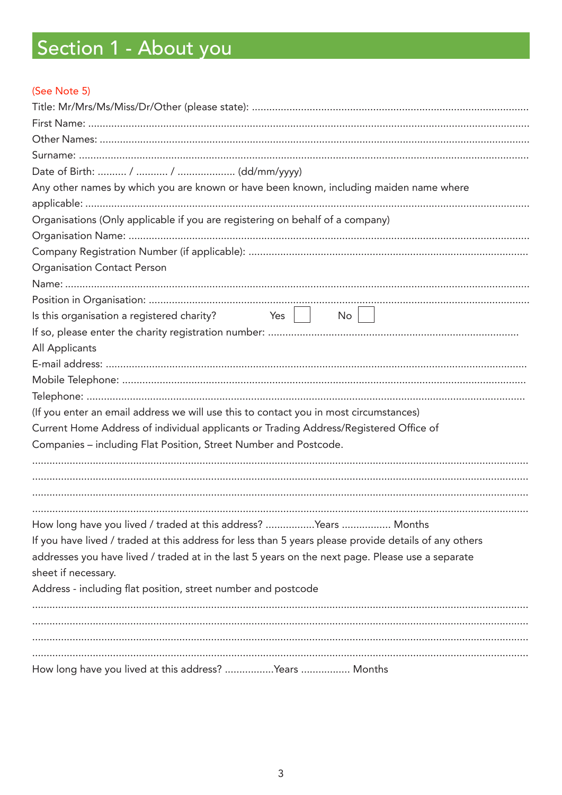# Section 1 - About you

#### (See Note 5)

| Any other names by which you are known or have been known, including maiden name where                |
|-------------------------------------------------------------------------------------------------------|
|                                                                                                       |
| Organisations (Only applicable if you are registering on behalf of a company)                         |
|                                                                                                       |
|                                                                                                       |
| <b>Organisation Contact Person</b>                                                                    |
|                                                                                                       |
|                                                                                                       |
| Is this organisation a registered charity? $\angle$ Yes $\parallel$<br>$\mathsf{No}$                  |
|                                                                                                       |
| All Applicants                                                                                        |
|                                                                                                       |
|                                                                                                       |
|                                                                                                       |
| (If you enter an email address we will use this to contact you in most circumstances)                 |
| Current Home Address of individual applicants or Trading Address/Registered Office of                 |
| Companies - including Flat Position, Street Number and Postcode.                                      |
|                                                                                                       |
|                                                                                                       |
|                                                                                                       |
|                                                                                                       |
| How long have you lived / traded at this address? Years  Months                                       |
| If you have lived / traded at this address for less than 5 years please provide details of any others |
| addresses you have lived / traded at in the last 5 years on the next page. Please use a separate      |
| sheet if necessary.                                                                                   |
| Address - including flat position, street number and postcode                                         |
|                                                                                                       |
|                                                                                                       |
|                                                                                                       |
|                                                                                                       |
| How long have you lived at this address? Years  Months                                                |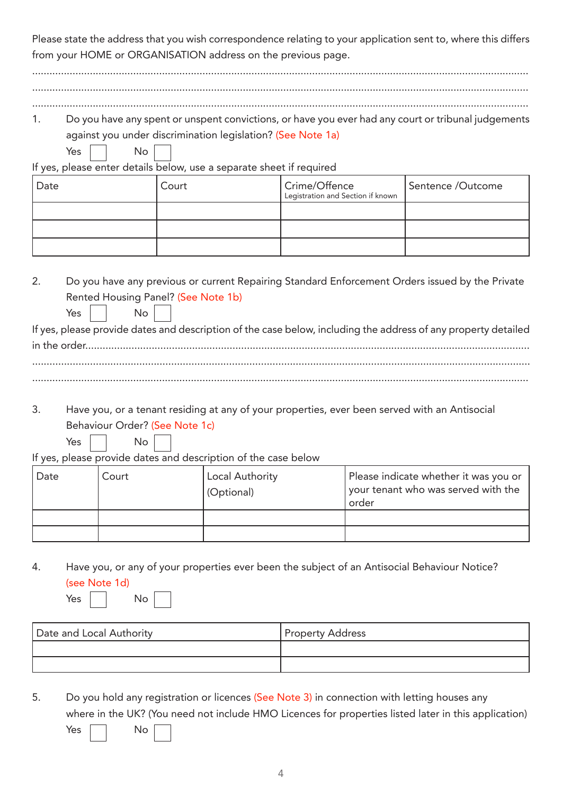Please state the address that you wish correspondence relating to your application sent to, where this differs from your HOME or ORGANISATION address on the previous page.

| 1.   |                                                  |                                                                      |                                                                                                 | Do you have any spent or unspent convictions, or have you ever had any court or tribunal judgements            |
|------|--------------------------------------------------|----------------------------------------------------------------------|-------------------------------------------------------------------------------------------------|----------------------------------------------------------------------------------------------------------------|
|      |                                                  | against you under discrimination legislation? (See Note 1a)          |                                                                                                 |                                                                                                                |
|      | Yes<br>No                                        | If yes, please enter details below, use a separate sheet if required |                                                                                                 |                                                                                                                |
| Date |                                                  | Court                                                                | Crime/Offence<br>Legistration and Section if known                                              | Sentence /Outcome                                                                                              |
|      |                                                  |                                                                      |                                                                                                 |                                                                                                                |
|      |                                                  |                                                                      |                                                                                                 |                                                                                                                |
|      |                                                  |                                                                      |                                                                                                 |                                                                                                                |
| 2.   |                                                  |                                                                      | Do you have any previous or current Repairing Standard Enforcement Orders issued by the Private |                                                                                                                |
|      | Rented Housing Panel? (See Note 1b)<br>Yes<br>No |                                                                      |                                                                                                 |                                                                                                                |
|      |                                                  |                                                                      |                                                                                                 | If yes, please provide dates and description of the case below, including the address of any property detailed |
|      | in the order                                     |                                                                      |                                                                                                 |                                                                                                                |
|      |                                                  |                                                                      |                                                                                                 |                                                                                                                |
|      |                                                  |                                                                      |                                                                                                 |                                                                                                                |

3. Have you, or a tenant residing at any of your properties, ever been served with an Antisocial Behaviour Order? (See Note 1c)

| Yes |  | No |
|-----|--|----|
|-----|--|----|

If yes, please provide dates and description of the case below

| , Date | Court | Local Authority<br>(Optional) | Please indicate whether it was you or<br>your tenant who was served with the<br>order |
|--------|-------|-------------------------------|---------------------------------------------------------------------------------------|
|        |       |                               |                                                                                       |
|        |       |                               |                                                                                       |

4. Have you, or any of your properties ever been the subject of an Antisocial Behaviour Notice? (see Note 1d)

| Y. |  |
|----|--|
|    |  |

| M.<br>۰, |  |
|----------|--|
|          |  |

| Date and Local Authority | <b>Property Address</b> |
|--------------------------|-------------------------|
|                          |                         |
|                          |                         |

5. Do you hold any registration or licences (See Note 3) in connection with letting houses any where in the UK? (You need not include HMO Licences for properties listed later in this application)

| Yes | Nο |  |
|-----|----|--|
|     |    |  |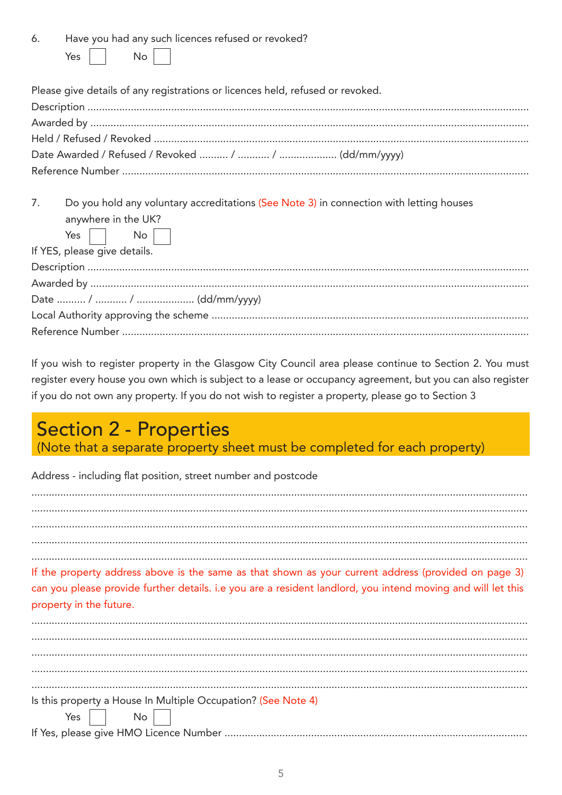| 6. |            |  | Have you had any such licences refused or revoked? |  |  |
|----|------------|--|----------------------------------------------------|--|--|
|    | Yes     No |  |                                                    |  |  |

| Please give details of any registrations or licences held, refused or revoked.            |
|-------------------------------------------------------------------------------------------|
|                                                                                           |
|                                                                                           |
|                                                                                           |
|                                                                                           |
|                                                                                           |
|                                                                                           |
| 7 Do vou bold any voluntary accreditations (See Note 3) in connection with letting houses |

| 7. Do you nold any voluntaly accidentations (See Note 3) in connection with letting houses |
|--------------------------------------------------------------------------------------------|
| anywhere in the UK?                                                                        |
| Yes $\Box$ No $\Box$                                                                       |
| If YES, please give details.                                                               |
|                                                                                            |
|                                                                                            |
|                                                                                            |
|                                                                                            |
|                                                                                            |
|                                                                                            |

If you wish to register property in the Glasgow City Council area please continue to Section 2. You must register every house you own which is subject to a lease or occupancy agreement, but you can also register if you do not own any property. If you do not wish to register a property, please go to Section 3

## **Section 2 - Properties**

(Note that a separate property sheet must be completed for each property)

Address - including flat position, street number and postcode

If the property address above is the same as that shown as your current address (provided on page 3) can you please provide further details. i.e you are a resident landlord, you intend moving and will let this property in the future. Is this property a House In Multiple Occupation? (See Note 4) Yes **No**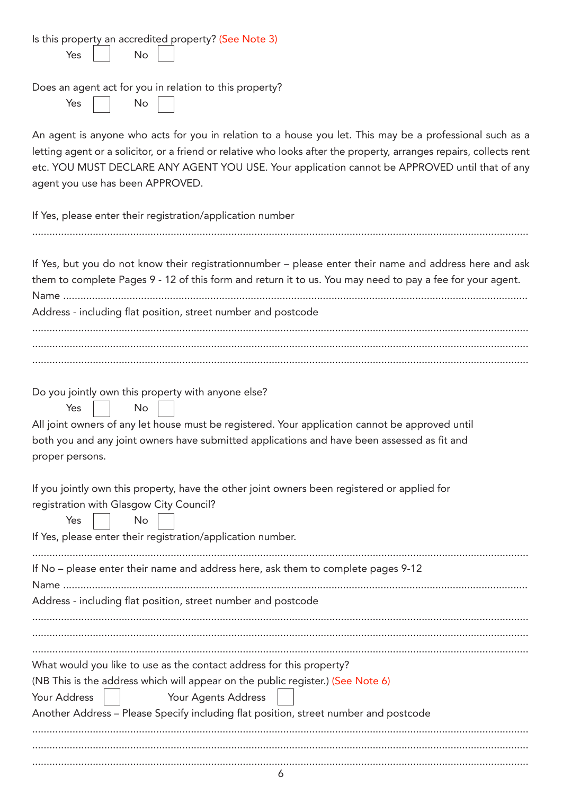| Does an agent act for you in relation to this property?<br>Yes<br>No<br>An agent is anyone who acts for you in relation to a house you let. This may be a professional such as a<br>letting agent or a solicitor, or a friend or relative who looks after the property, arranges repairs, collects rent<br>etc. YOU MUST DECLARE ANY AGENT YOU USE. Your application cannot be APPROVED until that of any<br>agent you use has been APPROVED.<br>If Yes, please enter their registration/application number<br>If Yes, but you do not know their registrationnumber - please enter their name and address here and ask<br>them to complete Pages 9 - 12 of this form and return it to us. You may need to pay a fee for your agent.<br>Address - including flat position, street number and postcode<br>Do you jointly own this property with anyone else?<br><b>No</b><br>Yes<br>All joint owners of any let house must be registered. Your application cannot be approved until<br>both you and any joint owners have submitted applications and have been assessed as fit and<br>proper persons.<br>If you jointly own this property, have the other joint owners been registered or applied for<br>registration with Glasgow City Council?<br>Yes<br>No<br>If Yes, please enter their registration/application number.<br>If No - please enter their name and address here, ask them to complete pages 9-12<br>Address - including flat position, street number and postcode<br>What would you like to use as the contact address for this property?<br>(NB This is the address which will appear on the public register.) (See Note 6)<br>Your Address<br>Your Agents Address<br>Another Address - Please Specify including flat position, street number and postcode | Is this property an accredited property? (See Note 3)<br>Yes<br><b>No</b> |
|----------------------------------------------------------------------------------------------------------------------------------------------------------------------------------------------------------------------------------------------------------------------------------------------------------------------------------------------------------------------------------------------------------------------------------------------------------------------------------------------------------------------------------------------------------------------------------------------------------------------------------------------------------------------------------------------------------------------------------------------------------------------------------------------------------------------------------------------------------------------------------------------------------------------------------------------------------------------------------------------------------------------------------------------------------------------------------------------------------------------------------------------------------------------------------------------------------------------------------------------------------------------------------------------------------------------------------------------------------------------------------------------------------------------------------------------------------------------------------------------------------------------------------------------------------------------------------------------------------------------------------------------------------------------------------------------------------------------------------------------------------------------------|---------------------------------------------------------------------------|
|                                                                                                                                                                                                                                                                                                                                                                                                                                                                                                                                                                                                                                                                                                                                                                                                                                                                                                                                                                                                                                                                                                                                                                                                                                                                                                                                                                                                                                                                                                                                                                                                                                                                                                                                                                            |                                                                           |
|                                                                                                                                                                                                                                                                                                                                                                                                                                                                                                                                                                                                                                                                                                                                                                                                                                                                                                                                                                                                                                                                                                                                                                                                                                                                                                                                                                                                                                                                                                                                                                                                                                                                                                                                                                            |                                                                           |
|                                                                                                                                                                                                                                                                                                                                                                                                                                                                                                                                                                                                                                                                                                                                                                                                                                                                                                                                                                                                                                                                                                                                                                                                                                                                                                                                                                                                                                                                                                                                                                                                                                                                                                                                                                            |                                                                           |
|                                                                                                                                                                                                                                                                                                                                                                                                                                                                                                                                                                                                                                                                                                                                                                                                                                                                                                                                                                                                                                                                                                                                                                                                                                                                                                                                                                                                                                                                                                                                                                                                                                                                                                                                                                            |                                                                           |
|                                                                                                                                                                                                                                                                                                                                                                                                                                                                                                                                                                                                                                                                                                                                                                                                                                                                                                                                                                                                                                                                                                                                                                                                                                                                                                                                                                                                                                                                                                                                                                                                                                                                                                                                                                            |                                                                           |
|                                                                                                                                                                                                                                                                                                                                                                                                                                                                                                                                                                                                                                                                                                                                                                                                                                                                                                                                                                                                                                                                                                                                                                                                                                                                                                                                                                                                                                                                                                                                                                                                                                                                                                                                                                            |                                                                           |
|                                                                                                                                                                                                                                                                                                                                                                                                                                                                                                                                                                                                                                                                                                                                                                                                                                                                                                                                                                                                                                                                                                                                                                                                                                                                                                                                                                                                                                                                                                                                                                                                                                                                                                                                                                            |                                                                           |
|                                                                                                                                                                                                                                                                                                                                                                                                                                                                                                                                                                                                                                                                                                                                                                                                                                                                                                                                                                                                                                                                                                                                                                                                                                                                                                                                                                                                                                                                                                                                                                                                                                                                                                                                                                            |                                                                           |
|                                                                                                                                                                                                                                                                                                                                                                                                                                                                                                                                                                                                                                                                                                                                                                                                                                                                                                                                                                                                                                                                                                                                                                                                                                                                                                                                                                                                                                                                                                                                                                                                                                                                                                                                                                            |                                                                           |
|                                                                                                                                                                                                                                                                                                                                                                                                                                                                                                                                                                                                                                                                                                                                                                                                                                                                                                                                                                                                                                                                                                                                                                                                                                                                                                                                                                                                                                                                                                                                                                                                                                                                                                                                                                            |                                                                           |
|                                                                                                                                                                                                                                                                                                                                                                                                                                                                                                                                                                                                                                                                                                                                                                                                                                                                                                                                                                                                                                                                                                                                                                                                                                                                                                                                                                                                                                                                                                                                                                                                                                                                                                                                                                            | 6                                                                         |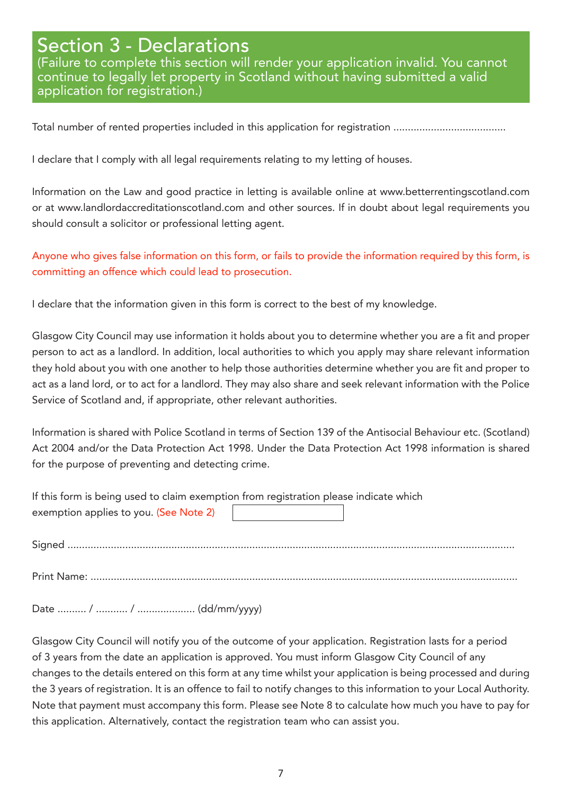### Section 3 - Declarations

(Failure to complete this section will render your application invalid. You cannot continue to legally let property in Scotland without having submitted a valid application for registration.)

Total number of rented properties included in this application for registration .................................

I declare that I comply with all legal requirements relating to my letting of houses.

Information on the Law and good practice in letting is available online at www.betterrentingscotland.com or at www.landlordaccreditationscotland.com and other sources. If in doubt about legal requirements you should consult a solicitor or professional letting agent.

#### Anyone who gives false information on this form, or fails to provide the information required by this form, is committing an offence which could lead to prosecution.

I declare that the information given in this form is correct to the best of my knowledge.

Glasgow City Council may use information it holds about you to determine whether you are a fit and proper person to act as a landlord. In addition, local authorities to which you apply may share relevant information they hold about you with one another to help those authorities determine whether you are fit and proper to act as a land lord, or to act for a landlord. They may also share and seek relevant information with the Police Service of Scotland and, if appropriate, other relevant authorities.

Information is shared with Police Scotland in terms of Section 139 of the Antisocial Behaviour etc. (Scotland) Act 2004 and/or the Data Protection Act 1998. Under the Data Protection Act 1998 information is shared for the purpose of preventing and detecting crime.

| If this form is being used to claim exemption from registration please indicate which |  |
|---------------------------------------------------------------------------------------|--|
| exemption applies to you. (See Note 2)                                                |  |

Signed ...........................................................................................................................................................

Print Name: ....................................................................................................................................................

Date .......... / ........... / .................... (dd/mm/yyyy)

Glasgow City Council will notify you of the outcome of your application. Registration lasts for a period of 3 years from the date an application is approved. You must inform Glasgow City Council of any changes to the details entered on this form at any time whilst your application is being processed and during the 3 years of registration. It is an offence to fail to notify changes to this information to your Local Authority. Note that payment must accompany this form. Please see Note 8 to calculate how much you have to pay for this application. Alternatively, contact the registration team who can assist you.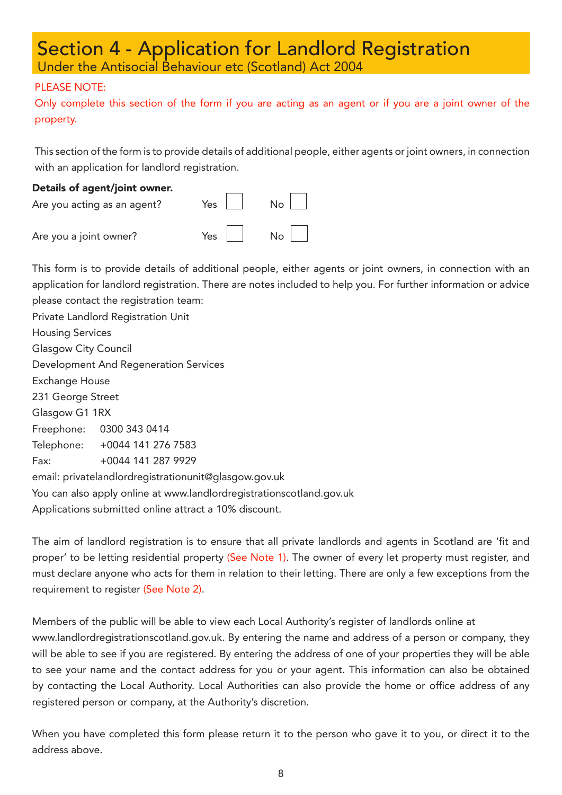#### Section 4 - Application for Landlord Registration Under the Antisocial Behaviour etc (Scotland) Act 2004

#### PLEASE NOTE:

Only complete this section of the form if you are acting as an agent or if you are a joint owner of the property.

This section of the form is to provide details of additional people, either agents or joint owners, in connection with an application for landlord registration.

### Details of agent/joint owner. Are you acting as an agent? Yes  $\Box$  No  $\Box$ Are you a joint owner? Yes

This form is to provide details of additional people, either agents or joint owners, in connection with an application for landlord registration. There are notes included to help you. For further information or advice please contact the registration team:

Private Landlord Registration Unit Housing Services Glasgow City Council Development And Regeneration Services Exchange House 231 George Street Glasgow G1 1RX Freephone: 0300 343 0414 Telephone: +0044 141 276 7583 Fax: +0044 141 287 9929 email: privatelandlordregistrationunit@glasgow.gov.uk You can also apply online at www.landlordregistrationscotland.gov.uk Applications submitted online attract a 10% discount.

The aim of landlord registration is to ensure that all private landlords and agents in Scotland are 'fit and proper' to be letting residential property (See Note 1). The owner of every let property must register, and must declare anyone who acts for them in relation to their letting. There are only a few exceptions from the requirement to register (See Note 2).

Members of the public will be able to view each Local Authority's register of landlords online at www.landlordregistrationscotland.gov.uk. By entering the name and address of a person or company, they will be able to see if you are registered. By entering the address of one of your properties they will be able to see your name and the contact address for you or your agent. This information can also be obtained by contacting the Local Authority. Local Authorities can also provide the home or office address of any registered person or company, at the Authority's discretion.

When you have completed this form please return it to the person who gave it to you, or direct it to the address above.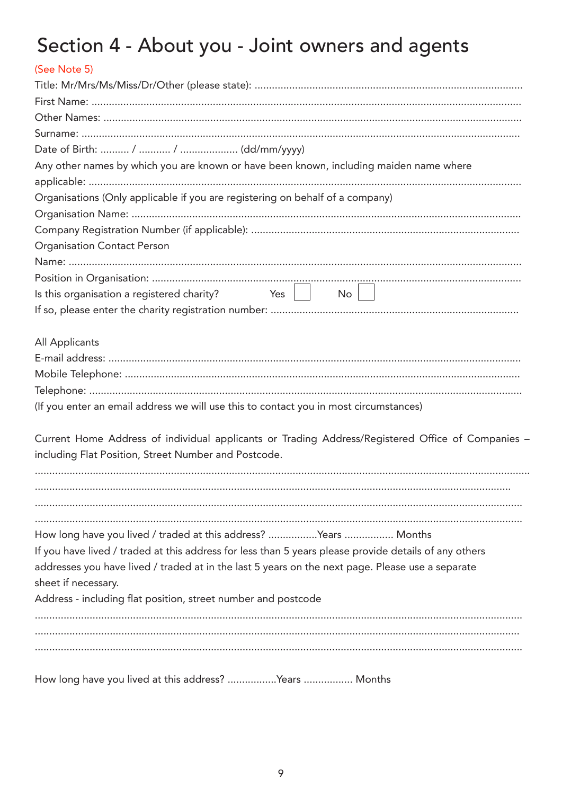# Section 4 - About you - Joint owners and agents

| (See Note 5)                                                                                          |
|-------------------------------------------------------------------------------------------------------|
|                                                                                                       |
|                                                                                                       |
|                                                                                                       |
|                                                                                                       |
|                                                                                                       |
| Any other names by which you are known or have been known, including maiden name where                |
|                                                                                                       |
| Organisations (Only applicable if you are registering on behalf of a company)                         |
|                                                                                                       |
|                                                                                                       |
| <b>Organisation Contact Person</b>                                                                    |
|                                                                                                       |
|                                                                                                       |
| Is this organisation a registered charity? $\begin{array}{c c} \text{Yes} & \end{array}$<br>$No$      |
|                                                                                                       |
|                                                                                                       |
| All Applicants                                                                                        |
|                                                                                                       |
|                                                                                                       |
|                                                                                                       |
| (If you enter an email address we will use this to contact you in most circumstances)                 |
|                                                                                                       |
| Current Home Address of individual applicants or Trading Address/Registered Office of Companies -     |
| including Flat Position, Street Number and Postcode.                                                  |
|                                                                                                       |
|                                                                                                       |
|                                                                                                       |
|                                                                                                       |
| How long have you lived / traded at this address? Years  Months                                       |
| If you have lived / traded at this address for less than 5 years please provide details of any others |
| addresses you have lived / traded at in the last 5 years on the next page. Please use a separate      |
| sheet if necessary.                                                                                   |
| Address - including flat position, street number and postcode                                         |
|                                                                                                       |
|                                                                                                       |
|                                                                                                       |
|                                                                                                       |

How long have you lived at this address? ..................Years ................ Months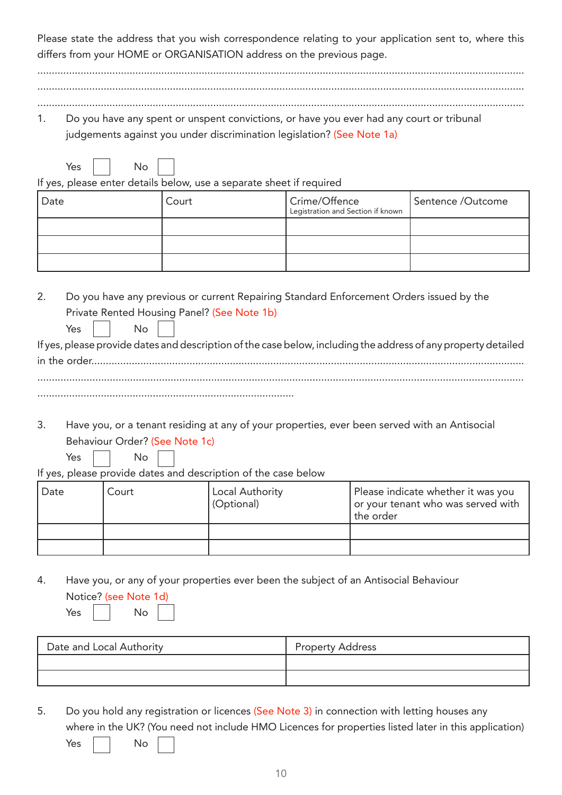Please state the address that you wish correspondence relating to your application sent to, where this differs from your HOME or ORGANISATION address on the previous page.

......................................................................................................................................................................... .........................................................................................................................................................................

.........................................................................................................................................................................

1. Do you have any spent or unspent convictions, or have you ever had any court or tribunal judgements against you under discrimination legislation? (See Note 1a)

If yes, please enter details below, use a separate sheet if required

| Date | Court | Crime/Offence<br>Legistration and Section if known | Sentence /Outcome |
|------|-------|----------------------------------------------------|-------------------|
|      |       |                                                    |                   |
|      |       |                                                    |                   |
|      |       |                                                    |                   |

2. Do you have any previous or current Repairing Standard Enforcement Orders issued by the Private Rented Housing Panel? (See Note 1b) Yes No If yes, please provide dates and description of the case below, including the address of any property detailed

- 3. Have you, or a tenant residing at any of your properties, ever been served with an Antisocial Behaviour Order? (See Note 1c)
	- Yes No

Yes No

If yes, please provide dates and description of the case below

| Date | Court | Local Authority<br>(Optional) | Please indicate whether it was you<br>or your tenant who was served with<br>the order |
|------|-------|-------------------------------|---------------------------------------------------------------------------------------|
|      |       |                               |                                                                                       |
|      |       |                               |                                                                                       |

4. Have you, or any of your properties ever been the subject of an Antisocial Behaviour Notice? (see Note 1d)

| Date and Local Authority | <b>Property Address</b> |
|--------------------------|-------------------------|
|                          |                         |
|                          |                         |

5. Do you hold any registration or licences (See Note 3) in connection with letting houses any where in the UK? (You need not include HMO Licences for properties listed later in this application)

Yes No

Yes No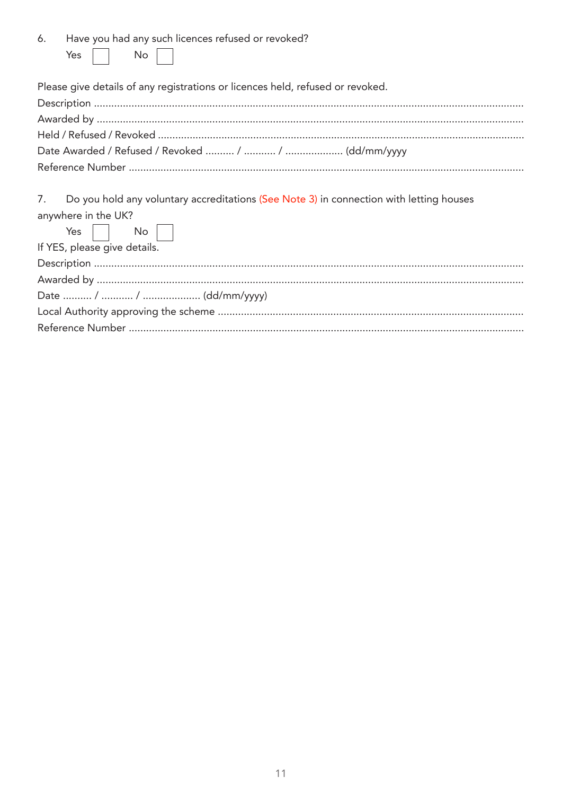| 6. Have you had any such licences refused or revoked? |  |  |  |
|-------------------------------------------------------|--|--|--|
| Yes     No                                            |  |  |  |

Please give details of any registrations or licences held, refused or revoked.

| 7. Do you hold any voluntary accreditations (See Note 3) in connection with letting houses |
|--------------------------------------------------------------------------------------------|
| anywhere in the UK?                                                                        |
| Yes     No                                                                                 |
| If YES, please give details.                                                               |
|                                                                                            |
|                                                                                            |
|                                                                                            |
|                                                                                            |
|                                                                                            |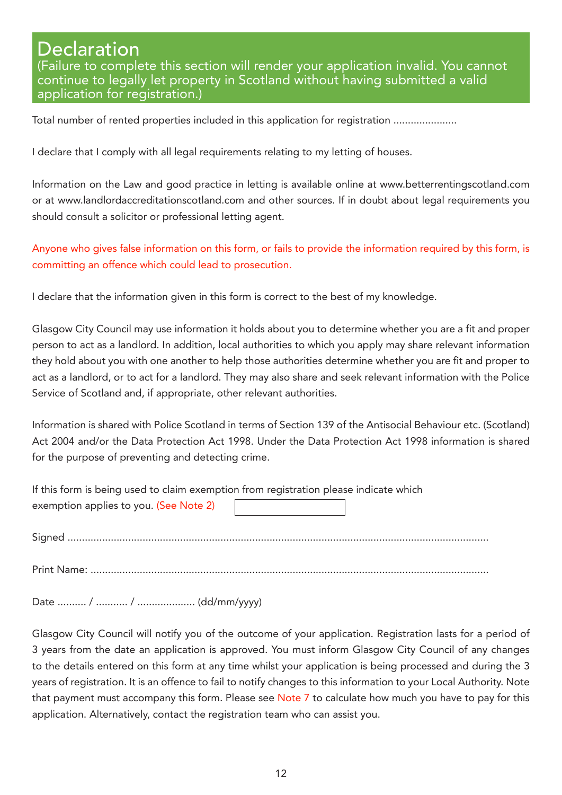#### **Declaration** (Failure to complete this section will render your application invalid. You cannot continue to legally let property in Scotland without having submitted a valid application for registration.)

Total number of rented properties included in this application for registration ....................

I declare that I comply with all legal requirements relating to my letting of houses.

Information on the Law and good practice in letting is available online at www.betterrentingscotland.com or at www.landlordaccreditationscotland.com and other sources. If in doubt about legal requirements you should consult a solicitor or professional letting agent.

Anyone who gives false information on this form, or fails to provide the information required by this form, is committing an offence which could lead to prosecution.

I declare that the information given in this form is correct to the best of my knowledge.

Glasgow City Council may use information it holds about you to determine whether you are a fit and proper person to act as a landlord. In addition, local authorities to which you apply may share relevant information they hold about you with one another to help those authorities determine whether you are fit and proper to act as a landlord, or to act for a landlord. They may also share and seek relevant information with the Police Service of Scotland and, if appropriate, other relevant authorities.

Information is shared with Police Scotland in terms of Section 139 of the Antisocial Behaviour etc. (Scotland) Act 2004 and/or the Data Protection Act 1998. Under the Data Protection Act 1998 information is shared for the purpose of preventing and detecting crime.

| If this form is being used to claim exemption from registration please indicate which |  |  |
|---------------------------------------------------------------------------------------|--|--|
| exemption applies to you. (See Note 2)                                                |  |  |
|                                                                                       |  |  |
|                                                                                       |  |  |

Print Name: ..........................................................................................................................................

Date .......... / ........... / .................... (dd/mm/yyyy)

Glasgow City Council will notify you of the outcome of your application. Registration lasts for a period of 3 years from the date an application is approved. You must inform Glasgow City Council of any changes to the details entered on this form at any time whilst your application is being processed and during the 3 years of registration. It is an offence to fail to notify changes to this information to your Local Authority. Note that payment must accompany this form. Please see Note 7 to calculate how much you have to pay for this application. Alternatively, contact the registration team who can assist you.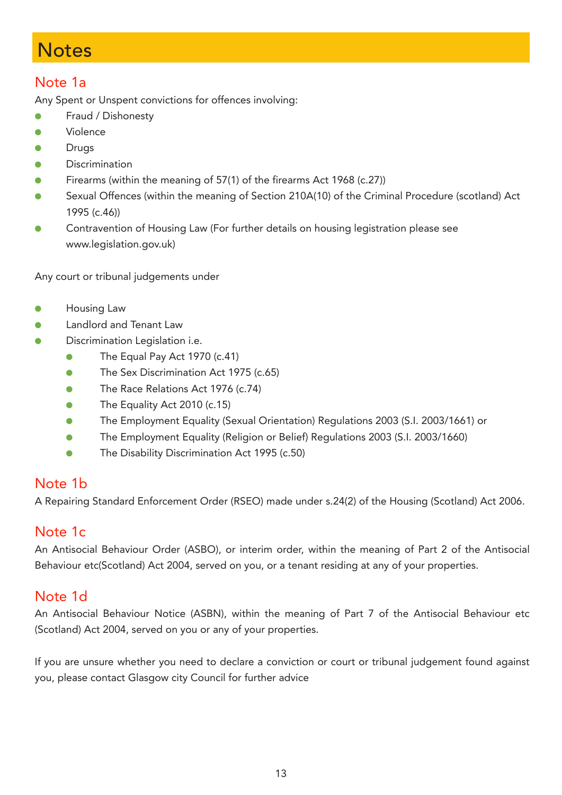### **Notes**

#### Note 1a

Any Spent or Unspent convictions for offences involving:

- Fraud / Dishonesty
- l Violence
- Drugs
- **Discrimination**
- Firearms (within the meaning of 57(1) of the firearms Act 1968 (c.27))
- Sexual Offences (within the meaning of Section 210A(10) of the Criminal Procedure (scotland) Act 1995 (c.46))
- l Contravention of Housing Law (For further details on housing legistration please see www.legislation.gov.uk)

Any court or tribunal judgements under

- Housing Law
- Landlord and Tenant Law
- Discrimination Legislation i.e.
	- The Equal Pay Act 1970 (c.41)
	- The Sex Discrimination Act 1975 (c.65)
	- The Race Relations Act 1976 (c.74)
	- $\bullet$  The Equality Act 2010 (c.15)
	- l The Employment Equality (Sexual Orientation) Regulations 2003 (S.I. 2003/1661) or
	- l The Employment Equality (Religion or Belief) Regulations 2003 (S.I. 2003/1660)
	- **•** The Disability Discrimination Act 1995 (c.50)

#### Note 1b

A Repairing Standard Enforcement Order (RSEO) made under s.24(2) of the Housing (Scotland) Act 2006.

#### Note 1c

An Antisocial Behaviour Order (ASBO), or interim order, within the meaning of Part 2 of the Antisocial Behaviour etc(Scotland) Act 2004, served on you, or a tenant residing at any of your properties.

#### Note 1d

An Antisocial Behaviour Notice (ASBN), within the meaning of Part 7 of the Antisocial Behaviour etc (Scotland) Act 2004, served on you or any of your properties.

If you are unsure whether you need to declare a conviction or court or tribunal judgement found against you, please contact Glasgow city Council for further advice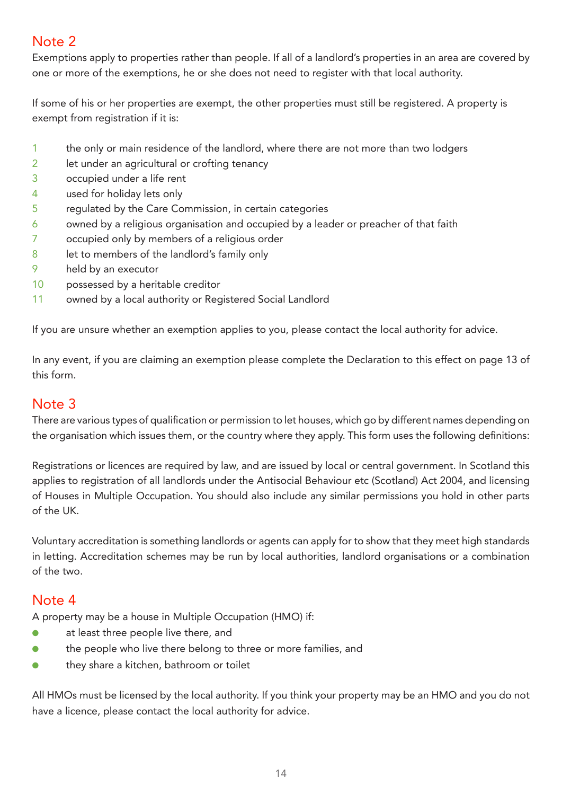#### Note 2

Exemptions apply to properties rather than people. If all of a landlord's properties in an area are covered by one or more of the exemptions, he or she does not need to register with that local authority.

If some of his or her properties are exempt, the other properties must still be registered. A property is exempt from registration if it is:

- 1 the only or main residence of the landlord, where there are not more than two lodgers
- 2 let under an agricultural or crofting tenancy
- 3 occupied under a life rent
- 4 used for holiday lets only
- 5 regulated by the Care Commission, in certain categories
- $6$  owned by a religious organisation and occupied by a leader or preacher of that faith
- 7 occupied only by members of a religious order
- 8 let to members of the landlord's family only
- 9 held by an executor
- 10 possessed by a heritable creditor
- 11 owned by a local authority or Registered Social Landlord

If you are unsure whether an exemption applies to you, please contact the local authority for advice.

In any event, if you are claiming an exemption please complete the Declaration to this effect on page 13 of this form.

#### Note 3

There are various types of qualification or permission to let houses, which go by different names depending on the organisation which issues them, or the country where they apply. This form uses the following definitions:

Registrations or licences are required by law, and are issued by local or central government. In Scotland this applies to registration of all landlords under the Antisocial Behaviour etc (Scotland) Act 2004, and licensing of Houses in Multiple Occupation. You should also include any similar permissions you hold in other parts of the UK.

Voluntary accreditation is something landlords or agents can apply for to show that they meet high standards in letting. Accreditation schemes may be run by local authorities, landlord organisations or a combination of the two.

#### Note 4

A property may be a house in Multiple Occupation (HMO) if:

- at least three people live there, and
- $\bullet$  the people who live there belong to three or more families, and
- $\bullet$  they share a kitchen, bathroom or toilet

All HMOs must be licensed by the local authority. If you think your property may be an HMO and you do not have a licence, please contact the local authority for advice.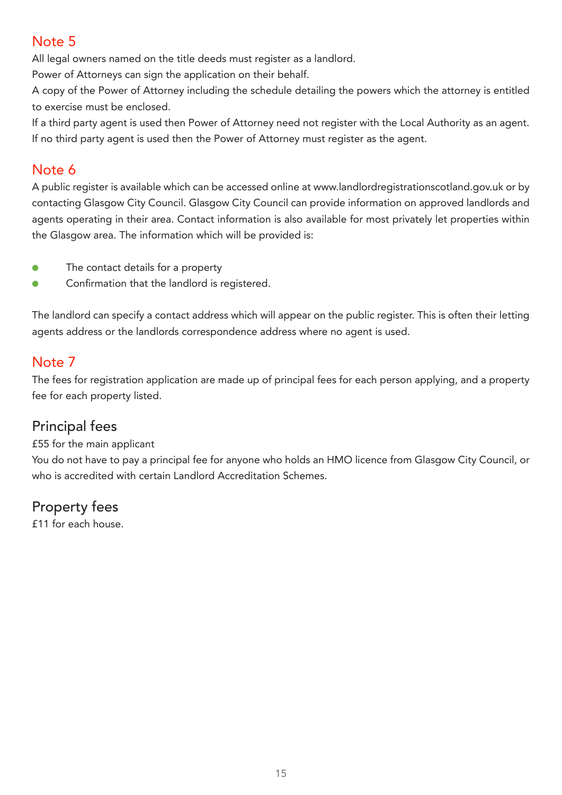#### Note 5

All legal owners named on the title deeds must register as a landlord.

Power of Attorneys can sign the application on their behalf.

A copy of the Power of Attorney including the schedule detailing the powers which the attorney is entitled to exercise must be enclosed.

If a third party agent is used then Power of Attorney need not register with the Local Authority as an agent. If no third party agent is used then the Power of Attorney must register as the agent.

#### Note 6

A public register is available which can be accessed online at www.landlordregistrationscotland.gov.uk or by contacting Glasgow City Council. Glasgow City Council can provide information on approved landlords and agents operating in their area. Contact information is also available for most privately let properties within the Glasgow area. The information which will be provided is:

- **•** The contact details for a property
- Confirmation that the landlord is registered.

The landlord can specify a contact address which will appear on the public register. This is often their letting agents address or the landlords correspondence address where no agent is used.

#### Note 7

The fees for registration application are made up of principal fees for each person applying, and a property fee for each property listed.

#### Principal fees

£55 for the main applicant

You do not have to pay a principal fee for anyone who holds an HMO licence from Glasgow City Council, or who is accredited with certain Landlord Accreditation Schemes.

#### Property fees

£11 for each house.